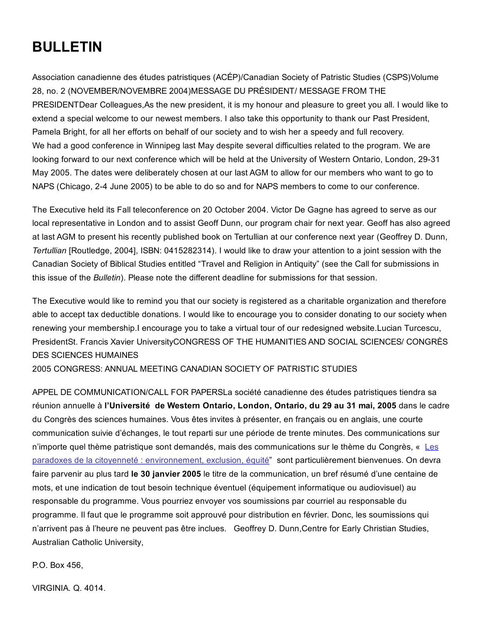# BULLETIN

Association canadienne des études patristiques (ACÉP)/Canadian Society of Patristic Studies (CSPS)Volume 28, no. 2 (NOVEMBER/NOVEMBRE 2004)MESSAGE DU PRÉSIDENT/ MESSAGE FROM THE PRESIDENTDear Colleagues,As the new president, it is my honour and pleasure to greet you all. I would like to extend a special welcome to our newest members. I also take this opportunity to thank our Past President, Pamela Bright, for all her efforts on behalf of our society and to wish her a speedy and full recovery. We had a good conference in Winnipeg last May despite several difficulties related to the program. We are looking forward to our next conference which will be held at the University of Western Ontario, London, 29-31 May 2005. The dates were deliberately chosen at our last AGM to allow for our members who want to go to NAPS (Chicago, 2-4 June 2005) to be able to do so and for NAPS members to come to our conference.

The Executive held its Fall teleconference on 20 October 2004. Victor De Gagne has agreed to serve as our local representative in London and to assist Geoff Dunn, our program chair for next year. Geoff has also agreed at last AGM to present his recently published book on Tertullian at our conference next year (Geoffrey D. Dunn, *Tertullian* [Routledge, 2004], ISBN: 0415282314). I would like to draw your attention to a joint session with the Canadian Society of Biblical Studies entitled "Travel and Religion in Antiquity" (see the Call for submissions in this issue of the *Bulletin*). Please note the different deadline for submissions for that session.

The Executive would like to remind you that our society is registered as a charitable organization and therefore able to accept tax deductible donations. I would like to encourage you to consider donating to our society when renewing your membership.I encourage you to take a virtual tour of our redesigned website.Lucian Turcescu, PresidentSt. Francis Xavier UniversityCONGRESS OF THE HUMANITIES AND SOCIAL SCIENCES/ CONGRÈS DES SCIENCES HUMAINES

2005 CONGRESS: ANNUAL MEETING CANADIAN SOCIETY OF PATRISTIC STUDIES

APPEL DE COMMUNICATION/CALL FOR PAPERSLa société canadienne des études patristiques tiendra sa réunion annuelle à l'Université de Western Ontario, London, Ontario, du 29 au 31 mai, 2005 dans le cadre du Congrès des sciences humaines. Vous êtes invites à présenter, en français ou en anglais, une courte communication suivie d'échanges, le tout reparti sur une période de trente minutes. Des communications sur n'importe quel thème patristique sont demandés, mais des [communications](http://web.archive.org/web/20150201000058/http://www.fedcan.ca/francais/congress/2005congresstheme.cfm) sur le thème du Congrès, « Les paradoxes de la citoyenneté : environnement, exclusion, équité" sont particulièrement bienvenues. On devra faire parvenir au plus tard le 30 janvier 2005 le titre de la communication, un bref résumé d'une centaine de mots, et une indication de tout besoin technique éventuel (équipement informatique ou audiovisuel) au responsable du programme. Vous pourriez envoyer vos soumissions par courriel au responsable du programme. Il faut que le programme soit approuvé pour distribution en février. Donc, les soumissions qui n'arrivent pas à l'heure ne peuvent pas être inclues. Geoffrey D. Dunn,Centre for Early Christian Studies, Australian Catholic University,

P.O. Box 456,

VIRGINIA. Q. 4014.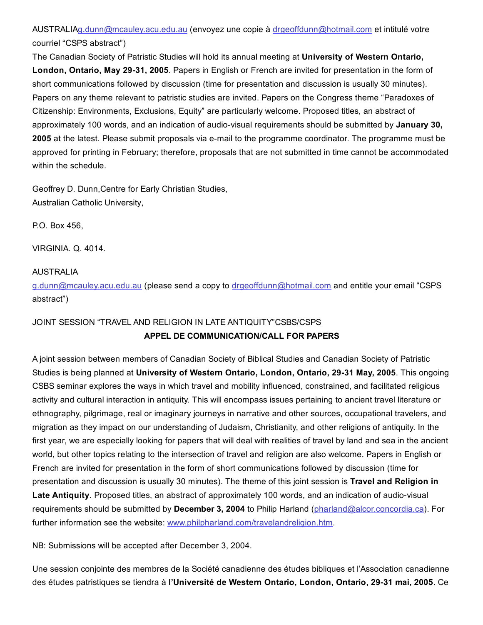AUSTRALI[Ag.dunn@mcauley.acu.edu.au](mailto:g.dunn@mcauley.acu.edu.au) (envoyez une copie à [drgeoffdunn@hotmail.com](mailto:drgeoffdunn@hotmail.com) et intitulé votre courriel "CSPS abstract")

The Canadian Society of Patristic Studies will hold its annual meeting at University of Western Ontario, London, Ontario, May 29-31, 2005. Papers in English or French are invited for presentation in the form of short communications followed by discussion (time for presentation and discussion is usually 30 minutes). Papers on any theme relevant to patristic studies are invited. Papers on the Congress theme "Paradoxes of Citizenship: Environments, Exclusions, Equity" are particularly welcome. Proposed titles, an abstract of approximately 100 words, and an indication of audio-visual requirements should be submitted by January 30, 2005 at the latest. Please submit proposals via e-mail to the programme coordinator. The programme must be approved for printing in February; therefore, proposals that are not submitted in time cannot be accommodated within the schedule.

Geoffrey D. Dunn,Centre for Early Christian Studies, Australian Catholic University,

P.O. Box 456,

VIRGINIA. Q. 4014.

# AUSTRALIA

[g.dunn@mcauley.acu.edu.au](mailto:g.dunn@mcauley.acu.edu.au) (please send a copy to [drgeoffdunn@hotmail.com](mailto:drgeoffdunn@hotmail.com) and entitle your email "CSPS abstract")

# JOINT SESSION "TRAVEL AND RELIGION IN LATE ANTIQUITY"CSBS/CSPS

# APPEL DE COMMUNICATION/CALL FOR PAPERS

A joint session between members of Canadian Society of Biblical Studies and Canadian Society of Patristic Studies is being planned at University of Western Ontario, London, Ontario, 29-31 May, 2005. This ongoing CSBS seminar explores the ways in which travel and mobility influenced, constrained, and facilitated religious activity and cultural interaction in antiquity. This will encompass issues pertaining to ancient travel literature or ethnography, pilgrimage, real or imaginary journeys in narrative and other sources, occupational travelers, and migration as they impact on our understanding of Judaism, Christianity, and other religions of antiquity. In the first year, we are especially looking for papers that will deal with realities of travel by land and sea in the ancient world, but other topics relating to the intersection of travel and religion are also welcome. Papers in English or French are invited for presentation in the form of short communications followed by discussion (time for presentation and discussion is usually 30 minutes). The theme of this joint session is Travel and Religion in Late Antiquity. Proposed titles, an abstract of approximately 100 words, and an indication of audio-visual requirements should be submitted by December 3, 2004 to Philip Harland [\(pharland@alcor.concordia.ca](mailto:pharland@alcor.concordia.ca)). For further information see the website: [www.philpharland.com/travelandreligion.htm.](http://web.archive.org/web/20150201000058/http://www.philpharland.com/travelandreligion.htm)

NB: Submissions will be accepted after December 3, 2004.

Une session conjointe des membres de la Société canadienne des études bibliques et l'Association canadienne des études patristiques se tiendra à l'Université de Western Ontario, London, Ontario, 29-31 mai, 2005. Ce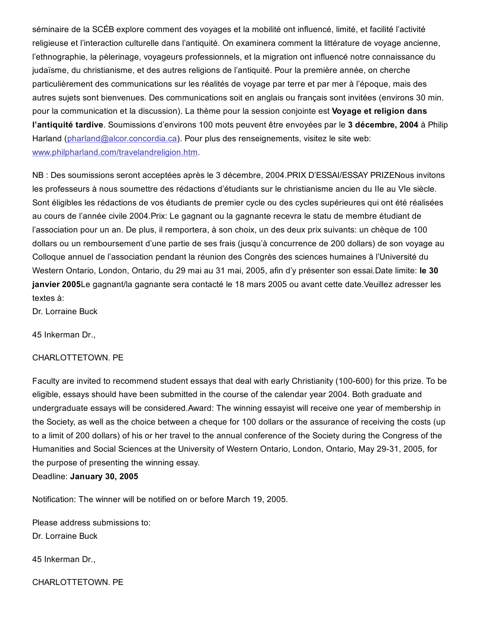séminaire de la SCÉB explore comment des voyages et la mobilité ont influencé, limité, et facilité l'activité religieuse et l'interaction culturelle dans l'antiquité. On examinera comment la littérature de voyage ancienne, l'ethnographie, la pèlerinage, voyageurs professionnels, et la migration ont influencé notre connaissance du judaïsme, du christianisme, et des autres religions de l'antiquité. Pour la première année, on cherche particulièrement des communications sur les réalités de voyage par terre et par mer à l'époque, mais des autres sujets sont bienvenues. Des communications soit en anglais ou français sont invitées (environs 30 min. pour la communication et la discussion). La thème pour la session conjointe est Voyage et religion dans l'antiquité tardive. Soumissions d'environs 100 mots peuvent être envoyées par le 3 décembre, 2004 à Philip Harland [\(pharland@alcor.concordia.ca](mailto:pharland@alcor.concordia.ca)). Pour plus des renseignements, visitez le site web: [www.philpharland.com/travelandreligion.htm.](http://web.archive.org/web/20150201000058/http://www.philpharland.com/travelandreligion.htm)

NB : Des soumissions seront acceptées après le 3 décembre, 2004.PRIX D'ESSAI/ESSAY PRIZENous invitons les professeurs à nous soumettre des rédactions d'étudiants sur le christianisme ancien du IIe au VIe siècle. Sont éligibles les rédactions de vos étudiants de premier cycle ou des cycles supérieures qui ont été réalisées au cours de l'année civile 2004.Prix: Le gagnant ou la gagnante recevra le statu de membre étudiant de l'association pour un an. De plus, il remportera, à son choix, un des deux prix suivants: un chèque de 100 dollars ou un remboursement d'une partie de ses frais (jusqu'à concurrence de 200 dollars) de son voyage au Colloque annuel de l'association pendant la réunion des Congrès des sciences humaines à l'Université du Western Ontario, London, Ontario, du 29 mai au 31 mai, 2005, afin d'y présenter son essai.Date limite: le 30 janvier 2005Le gagnant/la gagnante sera contacté le 18 mars 2005 ou avant cette date. Veuillez adresser les textes à:

Dr. Lorraine Buck

45 Inkerman Dr.,

#### CHARLOTTETOWN. PE

Faculty are invited to recommend student essays that deal with early Christianity (100-600) for this prize. To be eligible, essays should have been submitted in the course of the calendar year 2004. Both graduate and undergraduate essays will be considered.Award: The winning essayist will receive one year of membership in the Society, as well as the choice between a cheque for 100 dollars or the assurance of receiving the costs (up to a limit of 200 dollars) of his or her travel to the annual conference of the Society during the Congress of the Humanities and Social Sciences at the University of Western Ontario, London, Ontario, May 29-31, 2005, for the purpose of presenting the winning essay.

## Deadline: January 30, 2005

Notification: The winner will be notified on or before March 19, 2005.

Please address submissions to: Dr. Lorraine Buck

45 Inkerman Dr.,

CHARLOTTETOWN. PE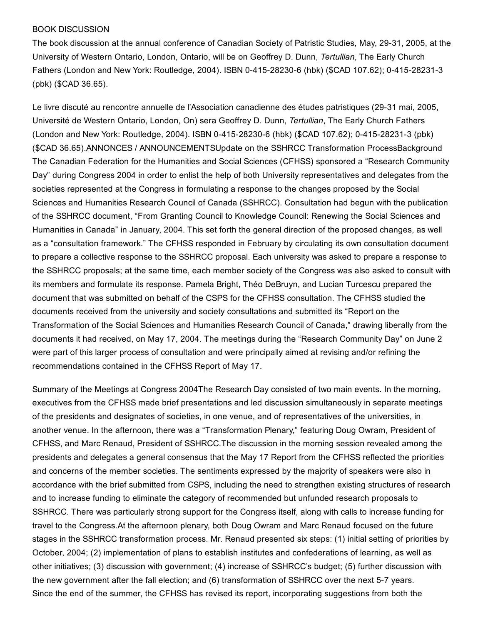### BOOK DISCUSSION

The book discussion at the annual conference of Canadian Society of Patristic Studies, May, 29-31, 2005, at the University of Western Ontario, London, Ontario, will be on Geoffrey D. Dunn, *Tertullian*, The Early Church Fathers (London and New York: Routledge, 2004). ISBN 0-415-28230-6 (hbk) (\$CAD 107.62); 0-415-28231-3 (pbk) (\$CAD 36.65).

Le livre discuté au rencontre annuelle de l'Association canadienne des études patristiques (29-31 mai, 2005, Université de Western Ontario, London, On) sera Geoffrey D. Dunn, *Tertullian*, The Early Church Fathers (London and New York: Routledge, 2004). ISBN 0-415-28230-6 (hbk) (\$CAD 107.62); 0-415-28231-3 (pbk) (\$CAD 36.65).ANNONCES / ANNOUNCEMENTSUpdate on the SSHRCC Transformation ProcessBackground The Canadian Federation for the Humanities and Social Sciences (CFHSS) sponsored a "Research Community Day" during Congress 2004 in order to enlist the help of both University representatives and delegates from the societies represented at the Congress in formulating a response to the changes proposed by the Social Sciences and Humanities Research Council of Canada (SSHRCC). Consultation had begun with the publication of the SSHRCC document, "From Granting Council to Knowledge Council: Renewing the Social Sciences and Humanities in Canada" in January, 2004. This set forth the general direction of the proposed changes, as well as a "consultation framework." The CFHSS responded in February by circulating its own consultation document to prepare a collective response to the SSHRCC proposal. Each university was asked to prepare a response to the SSHRCC proposals; at the same time, each member society of the Congress was also asked to consult with its members and formulate its response. Pamela Bright, Théo DeBruyn, and Lucian Turcescu prepared the document that was submitted on behalf of the CSPS for the CFHSS consultation. The CFHSS studied the documents received from the university and society consultations and submitted its "Report on the Transformation of the Social Sciences and Humanities Research Council of Canada," drawing liberally from the documents it had received, on May 17, 2004. The meetings during the "Research Community Day" on June 2 were part of this larger process of consultation and were principally aimed at revising and/or refining the recommendations contained in the CFHSS Report of May 17.

Summary of the Meetings at Congress 2004The Research Day consisted of two main events. In the morning, executives from the CFHSS made brief presentations and led discussion simultaneously in separate meetings of the presidents and designates of societies, in one venue, and of representatives of the universities, in another venue. In the afternoon, there was a "Transformation Plenary," featuring Doug Owram, President of CFHSS, and Marc Renaud, President of SSHRCC.The discussion in the morning session revealed among the presidents and delegates a general consensus that the May 17 Report from the CFHSS reflected the priorities and concerns of the member societies. The sentiments expressed by the majority of speakers were also in accordance with the brief submitted from CSPS, including the need to strengthen existing structures of research and to increase funding to eliminate the category of recommended but unfunded research proposals to SSHRCC. There was particularly strong support for the Congress itself, along with calls to increase funding for travel to the Congress.At the afternoon plenary, both Doug Owram and Marc Renaud focused on the future stages in the SSHRCC transformation process. Mr. Renaud presented six steps: (1) initial setting of priorities by October, 2004; (2) implementation of plans to establish institutes and confederations of learning, as well as other initiatives; (3) discussion with government; (4) increase of SSHRCC's budget; (5) further discussion with the new government after the fall election; and (6) transformation of SSHRCC over the next 5-7 years. Since the end of the summer, the CFHSS has revised its report, incorporating suggestions from both the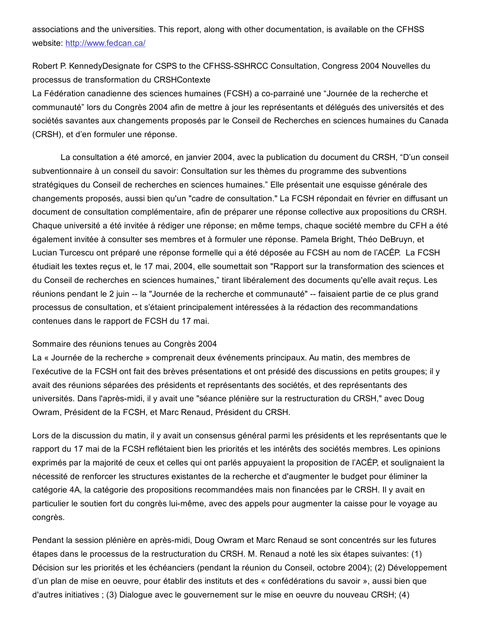associations and the universities. This report, along with other documentation, is available on the CFHSS website: [http://www.fedcan.ca/](http://web.archive.org/web/20150201000058/http://www.fedcan.ca/)

Robert P. KennedyDesignate for CSPS to the CFHSS-SSHRCC Consultation, Congress 2004 Nouvelles du processus de transformation du CRSHContexte

La Fédération canadienne des sciences humaines (FCSH) a co-parrainé une "Journée de la recherche et communauté" lors du Congrès 2004 afin de mettre à jour les représentants et délégués des universités et des sociétés savantes aux changements proposés par le Conseil de Recherches en sciences humaines du Canada (CRSH), et d'en formuler une réponse.

La consultation a été amorcé, en janvier 2004, avec la publication du document du CRSH, "D'un conseil subventionnaire à un conseil du savoir: Consultation sur les thèmes du programme des subventions stratégiques du Conseil de recherches en sciences humaines." Elle présentait une esquisse générale des changements proposés, aussi bien qu'un "cadre de consultation." La FCSH répondait en février en diffusant un document de consultation complémentaire, afin de préparer une réponse collective aux propositions du CRSH. Chaque université a été invitée à rédiger une réponse; en même temps, chaque société membre du CFH a été également invitée à consulter ses membres et à formuler une réponse. Pamela Bright, Théo DeBruyn, et Lucian Turcescu ont préparé une réponse formelle qui a été déposée au FCSH au nom de l'ACÉP. La FCSH étudiait les textes reçus et, le 17 mai, 2004, elle soumettait son "Rapport sur la transformation des sciences et du Conseil de recherches en sciences humaines," tirant libéralement des documents qu'elle avait reçus. Les réunions pendant le 2 juin -- la "Journée de la recherche et communauté" -- faisaient partie de ce plus grand processus de consultation, et s'étaient principalement intéressées à la rédaction des recommandations contenues dans le rapport de FCSH du 17 mai.

## Sommaire des réunions tenues au Congrès 2004

La « Journée de la recherche » comprenait deux événements principaux. Au matin, des membres de l'exécutive de la FCSH ont fait des brèves présentations et ont présidé des discussions en petits groupes; il y avait des réunions séparées des présidents et représentants des sociétés, et des représentants des universités. Dans l'après-midi, il y avait une "séance plénière sur la restructuration du CRSH," avec Doug Owram, Président de la FCSH, et Marc Renaud, Président du CRSH.

Lors de la discussion du matin, il y avait un consensus général parmi les présidents et les représentants que le rapport du 17 mai de la FCSH reflétaient bien les priorités et les intérêts des sociétés membres. Les opinions exprimés par la majorité de ceux et celles qui ont parlés appuyaient la proposition de l'ACÉP, et soulignaient la nécessité de renforcer les structures existantes de la recherche et d'augmenter le budget pour éliminer la catégorie 4A, la catégorie des propositions recommandées mais non financées par le CRSH. Il y avait en particulier le soutien fort du congrès lui-même, avec des appels pour augmenter la caisse pour le voyage au congrès.

Pendant la session plénière en après-midi, Doug Owram et Marc Renaud se sont concentrés sur les futures étapes dans le processus de la restructuration du CRSH. M. Renaud a noté les six étapes suivantes: (1) Décision sur les priorités et les échéanciers (pendant la réunion du Conseil, octobre 2004); (2) Développement d'un plan de mise en oeuvre, pour établir des instituts et des « confédérations du savoir », aussi bien que d'autres initiatives ; (3) Dialogue avec le gouvernement sur le mise en oeuvre du nouveau CRSH; (4)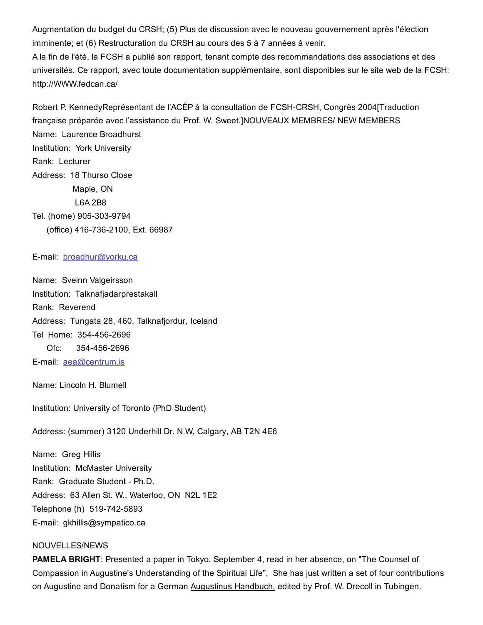Augmentation du budget du CRSH; (5) Plus de discussion avec le nouveau gouvernement après l'élection imminente; et (6) Restructuration du CRSH au cours des 5 à 7 années à venir.

A la fin de l'été, la FCSH a publié son rapport, tenant compte des recommandations des associations et des universités. Ce rapport, avec toute documentation supplémentaire, sont disponibles sur le site web de la FCSH: http://WWW.fedcan.ca/

Robert P. KennedyReprésentant de l'ACÉP à la consultation de FCSH-CRSH, Congrès 2004[Traduction française préparée avec l'assistance du Prof. W. Sweet.]NOUVEAUX MEMBRES/ NEW MEMBERS Name: Laurence Broadhurst Institution: York University Rank: Lecturer Address: 18 Thurso Close Maple, ON L6A 2B8 Tel. (home) 905-303-9794 (office) 416-736-2100, Ext. 66987

#### E-mail: [broadhur@yorku.ca](mailto:broadhur@yorku.ca)

Name: Sveinn Valgeirsson Institution: Talknafjadarprestakall Rank: Reverend Address: Tungata 28, 460, Talknafjordur, Iceland Tel Home: 354-456-2696 Ofc: 354-456-2696 Email: [aea@centrum.is](mailto:aea@centrum.is)

Name: Lincoln H. Blumell

Institution: University of Toronto (PhD Student)

Address: (summer) 3120 Underhill Dr. N.W, Calgary, AB T2N 4E6

Name: Greg Hillis Institution: McMaster University Rank: Graduate Student - Ph.D. Address: 63 Allen St. W., Waterloo, ON N2L 1E2 Telephone (h) 519-742-5893 Email: gkhillis@sympatico.ca

### NOUVELLES/NEWS

PAMELA BRIGHT: Presented a paper in Tokyo, September 4, read in her absence, on "The Counsel of Compassion in Augustine's Understanding of the Spiritual Life". She has just written a set of four contributions on Augustine and Donatism for a German Augustinus Handbuch, edited by Prof. W. Drecoll in Tubingen.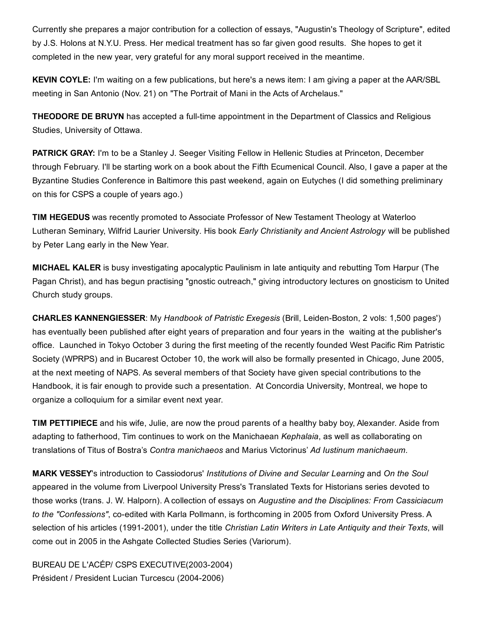Currently she prepares a major contribution for a collection of essays, "Augustin's Theology of Scripture", edited by J.S. Holons at N.Y.U. Press. Her medical treatment has so far given good results. She hopes to get it completed in the new year, very grateful for any moral support received in the meantime.

KEVIN COYLE: I'm waiting on a few publications, but here's a news item: I am giving a paper at the AAR/SBL meeting in San Antonio (Nov. 21) on "The Portrait of Mani in the Acts of Archelaus."

**THEODORE DE BRUYN** has accepted a full-time appointment in the Department of Classics and Religious Studies, University of Ottawa.

PATRICK GRAY: I'm to be a Stanley J. Seeger Visiting Fellow in Hellenic Studies at Princeton, December through February. I'll be starting work on a book about the Fifth Ecumenical Council. Also, I gave a paper at the Byzantine Studies Conference in Baltimore this past weekend, again on Eutyches (I did something preliminary on this for CSPS a couple of years ago.)

TIM HEGEDUS was recently promoted to Associate Professor of New Testament Theology at Waterloo Lutheran Seminary, Wilfrid Laurier University. His book *Early Christianity and Ancient Astrology* will be published by Peter Lang early in the New Year.

MICHAEL KALER is busy investigating apocalyptic Paulinism in late antiquity and rebutting Tom Harpur (The Pagan Christ), and has begun practising "gnostic outreach," giving introductory lectures on gnosticism to United Church study groups.

**CHARLES KANNENGIESSER:** My *Handbook of Patristic Exegesis* (Brill, Leiden-Boston, 2 vols: 1,500 pages') has eventually been published after eight years of preparation and four years in the waiting at the publisher's office. Launched in Tokyo October 3 during the first meeting of the recently founded West Pacific Rim Patristic Society (WPRPS) and in Bucarest October 10, the work will also be formally presented in Chicago, June 2005, at the next meeting of NAPS. As several members of that Society have given special contributions to the Handbook, it is fair enough to provide such a presentation. At Concordia University, Montreal, we hope to organize a colloquium for a similar event next year.

TIM PETTIPIECE and his wife, Julie, are now the proud parents of a healthy baby boy, Alexander. Aside from adapting to fatherhood, Tim continues to work on the Manichaean *Kephalaia*, as well as collaborating on translations of Titus of Bostra's *Contra manichaeos* and Marius Victorinus' *Ad Iustinum manichaeum.*

MARK VESSEY's introduction to Cassiodorus' *Institutions of Divine and Secular Learning* and *On the Soul* appeared in the volume from Liverpool University Press's Translated Texts for Historians series devoted to those works (trans. J. W. Halporn). A collection of essays on *Augustine and the Disciplines: From Cassiciacum to the* "Confessions", co-edited with Karla Pollmann, is forthcoming in 2005 from Oxford University Press. A selection of his articles (19912001), under the title *Christian Latin Writers in Late Antiquity and their Texts*, will come out in 2005 in the Ashgate Collected Studies Series (Variorum).

BUREAU DE L'ACÉP/ CSPS EXECUTIVE(2003-2004) Président / President Lucian Turcescu (2004-2006)